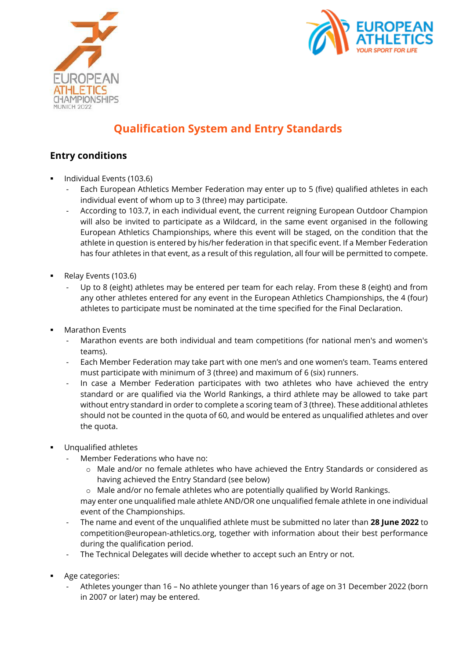



# **Qualification System and Entry Standards**

## **Entry conditions**

- Individual Events (103.6)
	- Each European Athletics Member Federation may enter up to 5 (five) qualified athletes in each individual event of whom up to 3 (three) may participate.
	- According to 103.7, in each individual event, the current reigning European Outdoor Champion will also be invited to participate as a Wildcard, in the same event organised in the following European Athletics Championships, where this event will be staged, on the condition that the athlete in question is entered by his/her federation in that specific event. If a Member Federation has four athletes in that event, as a result of this regulation, all four will be permitted to compete.
- Relay Events (103.6)
	- Up to 8 (eight) athletes may be entered per team for each relay. From these 8 (eight) and from any other athletes entered for any event in the European Athletics Championships, the 4 (four) athletes to participate must be nominated at the time specified for the Final Declaration.
- **Marathon Events** 
	- Marathon events are both individual and team competitions (for national men's and women's teams).
	- Each Member Federation may take part with one men's and one women's team. Teams entered must participate with minimum of 3 (three) and maximum of 6 (six) runners.
	- In case a Member Federation participates with two athletes who have achieved the entry standard or are qualified via the World Rankings, a third athlete may be allowed to take part without entry standard in order to complete a scoring team of 3 (three). These additional athletes should not be counted in the quota of 60, and would be entered as unqualified athletes and over the quota.
- Unqualified athletes
	- Member Federations who have no:
		- o Male and/or no female athletes who have achieved the Entry Standards or considered as having achieved the Entry Standard (see below)
		- $\circ$  Male and/or no female athletes who are potentially qualified by World Rankings.

may enter one unqualified male athlete AND/OR one unqualified female athlete in one individual event of the Championships.

- The name and event of the unqualified athlete must be submitted no later than **28 June 2022** to [competition@european-athletics.org,](mailto:competition@european-athletics.org) together with information about their best performance during the qualification period.
- The Technical Delegates will decide whether to accept such an Entry or not.
- Age categories:
	- Athletes younger than 16 No athlete younger than 16 years of age on 31 December 2022 (born in 2007 or later) may be entered.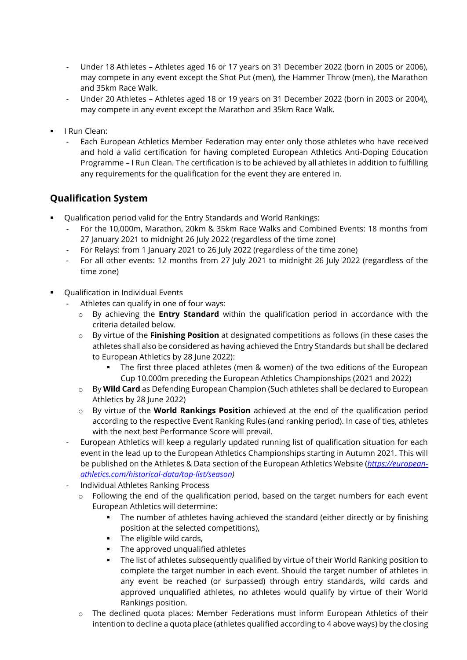- Under 18 Athletes Athletes aged 16 or 17 years on 31 December 2022 (born in 2005 or 2006), may compete in any event except the Shot Put (men), the Hammer Throw (men), the Marathon and 35km Race Walk.
- Under 20 Athletes Athletes aged 18 or 19 years on 31 December 2022 (born in 2003 or 2004), may compete in any event except the Marathon and 35km Race Walk.
- I Run Clean:
	- Each European Athletics Member Federation may enter only those athletes who have received and hold a valid certification for having completed European Athletics Anti-Doping Education Programme – I Run Clean. The certification is to be achieved by all athletes in addition to fulfilling any requirements for the qualification for the event they are entered in.

# **Qualification System**

- Qualification period valid for the Entry Standards and World Rankings:
	- For the 10,000m, Marathon, 20km & 35km Race Walks and Combined Events: 18 months from 27 January 2021 to midnight 26 July 2022 (regardless of the time zone)
	- For Relays: from 1 January 2021 to 26 July 2022 (regardless of the time zone)
	- For all other events: 12 months from 27 July 2021 to midnight 26 July 2022 (regardless of the time zone)
- Oualification in Individual Events
	- Athletes can qualify in one of four ways:
		- o By achieving the **Entry Standard** within the qualification period in accordance with the criteria detailed below.
		- o By virtue of the **Finishing Position** at designated competitions as follows (in these cases the athletes shall also be considered as having achieved the Entry Standards but shall be declared to European Athletics by 28 June 2022):
			- The first three placed athletes (men & women) of the two editions of the European Cup 10.000m preceding the European Athletics Championships (2021 and 2022)
		- o By **Wild Card** as Defending European Champion (Such athletes shall be declared to European Athletics by 28 June 2022)
		- o By virtue of the **World Rankings Position** achieved at the end of the qualification period according to the respective Event Ranking Rules (and ranking period). In case of ties, athletes with the next best Performance Score will prevail.
	- European Athletics will keep a regularly updated running list of qualification situation for each event in the lead up to the European Athletics Championships starting in Autumn 2021. This will be published on the Athletes & Data section of the European Athletics Website (*[https://european](https://european-athletics.com/historical-data/top-list/season)[athletics.com/historical-data/top-list/season\)](https://european-athletics.com/historical-data/top-list/season)*
	- Individual Athletes Ranking Process
		- o Following the end of the qualification period, based on the target numbers for each event European Athletics will determine:
			- The number of athletes having achieved the standard (either directly or by finishing position at the selected competitions),
			- The eligible wild cards,
			- The approved unqualified athletes
			- **•** The list of athletes subsequently qualified by virtue of their World Ranking position to complete the target number in each event. Should the target number of athletes in any event be reached (or surpassed) through entry standards, wild cards and approved unqualified athletes, no athletes would qualify by virtue of their World Rankings position.
		- o The declined quota places: Member Federations must inform European Athletics of their intention to decline a quota place (athletes qualified according to 4 above ways) by the closing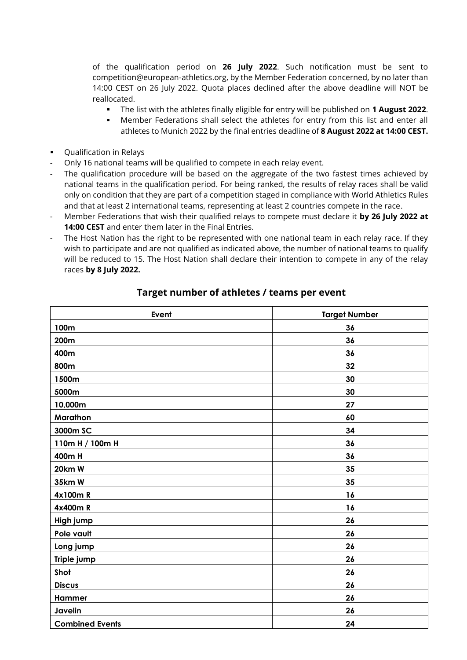of the qualification period on **26 July 2022**. Such notification must be sent to [competition@european-athletics.org,](mailto:competition@european-athletics.org) by the Member Federation concerned, by no later than 14:00 CEST on 26 July 2022. Quota places declined after the above deadline will NOT be reallocated.

- The list with the athletes finally eligible for entry will be published on **1 August 2022**.
- **■** Member Federations shall select the athletes for entry from this list and enter all athletes to Munich 2022 by the final entries deadline of **8 August 2022 at 14:00 CEST.**
- Qualification in Relays
- Only 16 national teams will be qualified to compete in each relay event.
- The qualification procedure will be based on the aggregate of the two fastest times achieved by national teams in the qualification period. For being ranked, the results of relay races shall be valid only on condition that they are part of a competition staged in compliance with World Athletics Rules and that at least 2 international teams, representing at least 2 countries compete in the race.
- Member Federations that wish their qualified relays to compete must declare it **by 26 July 2022 at 14:00 CEST** and enter them later in the Final Entries.
- The Host Nation has the right to be represented with one national team in each relay race. If they wish to participate and are not qualified as indicated above, the number of national teams to qualify will be reduced to 15. The Host Nation shall declare their intention to compete in any of the relay races **by 8 July 2022.**

| Event                  | <b>Target Number</b> |  |
|------------------------|----------------------|--|
| 100m                   | 36                   |  |
| 200m                   | 36                   |  |
| 400m                   | 36                   |  |
| 800m                   | 32                   |  |
| 1500m                  | 30                   |  |
| 5000m                  | 30                   |  |
| 10,000m                | 27                   |  |
| Marathon               | 60                   |  |
| 3000m SC               | 34                   |  |
| 110m H / 100m H        | 36                   |  |
| 400m H                 | 36                   |  |
| 20km W                 | 35                   |  |
| 35km W                 | 35                   |  |
| 4x100mR                | 16                   |  |
| 4x400mR                | 16                   |  |
| High jump              | 26                   |  |
| Pole vault             | 26                   |  |
| Long jump              | 26                   |  |
| Triple jump            | 26                   |  |
| Shot                   | 26                   |  |
| <b>Discus</b>          | 26                   |  |
| Hammer                 | 26                   |  |
| Javelin                | 26                   |  |
| <b>Combined Events</b> | 24                   |  |

#### **Target number of athletes / teams per event**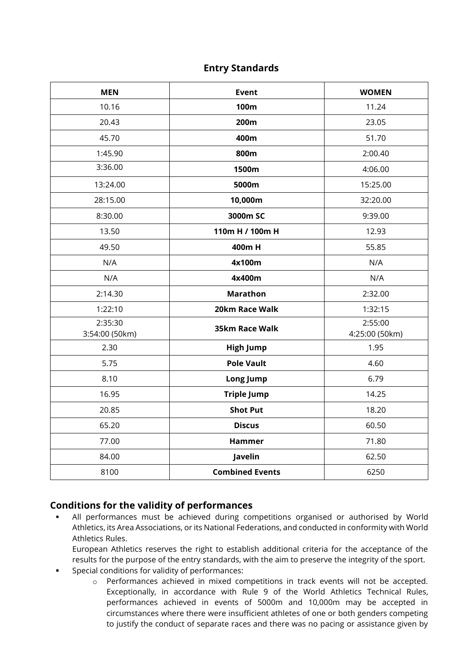### **Entry Standards**

| <b>MEN</b>                | <b>Event</b>           | <b>WOMEN</b>              |
|---------------------------|------------------------|---------------------------|
| 10.16                     | 100m                   | 11.24                     |
| 20.43                     | 200m                   | 23.05                     |
| 45.70                     | 400m                   | 51.70                     |
| 1:45.90                   | 800m                   | 2:00.40                   |
| 3:36.00                   | 1500m                  | 4:06.00                   |
| 13:24.00                  | 5000m                  | 15:25.00                  |
| 28:15.00                  | 10,000m                | 32:20.00                  |
| 8:30.00                   | 3000m SC               | 9:39.00                   |
| 13.50                     | 110m H / 100m H        | 12.93                     |
| 49.50                     | 400m H                 | 55.85                     |
| N/A                       | 4x100m                 | N/A                       |
| N/A                       | 4x400m                 | N/A                       |
| 2:14.30                   | <b>Marathon</b>        | 2:32.00                   |
| 1:22:10                   | 20km Race Walk         | 1:32:15                   |
| 2:35:30<br>3:54:00 (50km) | 35km Race Walk         | 2:55:00<br>4:25:00 (50km) |
| 2.30                      | <b>High Jump</b>       | 1.95                      |
| 5.75                      | <b>Pole Vault</b>      | 4.60                      |
| 8.10                      | Long Jump              | 6.79                      |
| 16.95                     | <b>Triple Jump</b>     | 14.25                     |
| 20.85                     | <b>Shot Put</b>        | 18.20                     |
| 65.20                     | <b>Discus</b>          | 60.50                     |
| 77.00                     | <b>Hammer</b>          | 71.80                     |
| 84.00                     | Javelin                | 62.50                     |
| 8100                      | <b>Combined Events</b> | 6250                      |

## **Conditions for the validity of performances**

- All performances must be achieved during competitions organised or authorised by World Athletics, its Area Associations, or its National Federations, and conducted in conformity with World Athletics Rules.
	- European Athletics reserves the right to establish additional criteria for the acceptance of the results for the purpose of the entry standards, with the aim to preserve the integrity of the sport.
- Special conditions for validity of performances:
	- o Performances achieved in mixed competitions in track events will not be accepted. Exceptionally, in accordance with Rule 9 of the World Athletics Technical Rules, performances achieved in events of 5000m and 10,000m may be accepted in circumstances where there were insufficient athletes of one or both genders competing to justify the conduct of separate races and there was no pacing or assistance given by